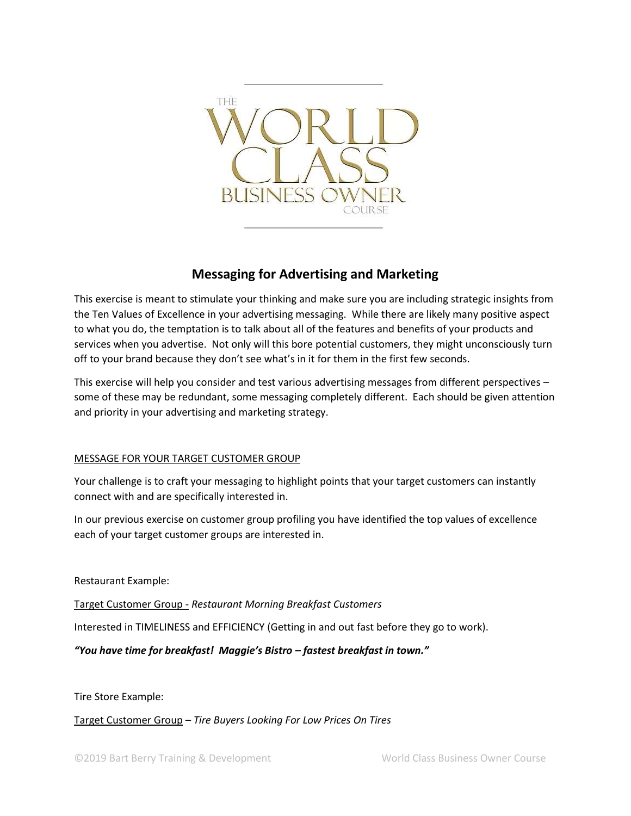

# **Messaging for Advertising and Marketing**

This exercise is meant to stimulate your thinking and make sure you are including strategic insights from the Ten Values of Excellence in your advertising messaging. While there are likely many positive aspect to what you do, the temptation is to talk about all of the features and benefits of your products and services when you advertise. Not only will this bore potential customers, they might unconsciously turn off to your brand because they don't see what's in it for them in the first few seconds.

This exercise will help you consider and test various advertising messages from different perspectives – some of these may be redundant, some messaging completely different. Each should be given attention and priority in your advertising and marketing strategy.

# MESSAGE FOR YOUR TARGET CUSTOMER GROUP

Your challenge is to craft your messaging to highlight points that your target customers can instantly connect with and are specifically interested in.

In our previous exercise on customer group profiling you have identified the top values of excellence each of your target customer groups are interested in.

Restaurant Example:

Target Customer Group - *Restaurant Morning Breakfast Customers*

Interested in TIMELINESS and EFFICIENCY (Getting in and out fast before they go to work).

*"You have time for breakfast! Maggie's Bistro – fastest breakfast in town."* 

Tire Store Example:

Target Customer Group – *Tire Buyers Looking For Low Prices On Tires*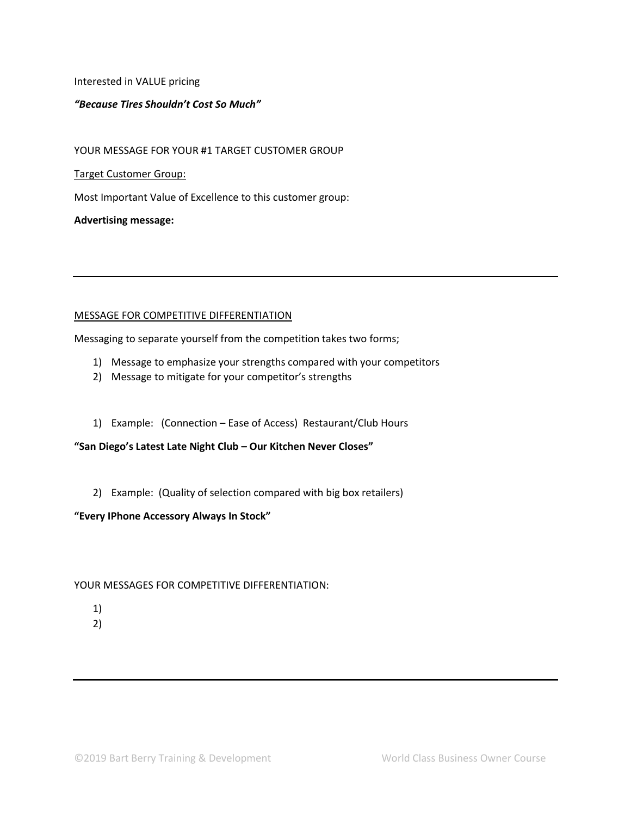Interested in VALUE pricing

#### *"Because Tires Shouldn't Cost So Much"*

YOUR MESSAGE FOR YOUR #1 TARGET CUSTOMER GROUP

#### Target Customer Group:

Most Important Value of Excellence to this customer group:

**Advertising message:** 

#### MESSAGE FOR COMPETITIVE DIFFERENTIATION

Messaging to separate yourself from the competition takes two forms;

- 1) Message to emphasize your strengths compared with your competitors
- 2) Message to mitigate for your competitor's strengths
- 1) Example: (Connection Ease of Access) Restaurant/Club Hours

**"San Diego's Latest Late Night Club – Our Kitchen Never Closes"**

2) Example: (Quality of selection compared with big box retailers)

# **"Every IPhone Accessory Always In Stock"**

# YOUR MESSAGES FOR COMPETITIVE DIFFERENTIATION:

- 1)
- 2)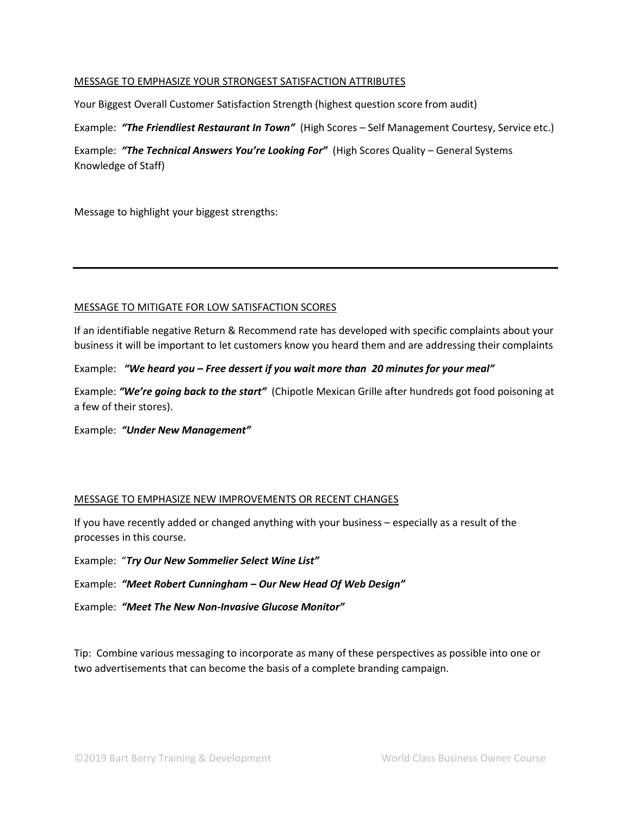# MESSAGE TO EMPHASIZE YOUR STRONGEST SATISFACTION ATTRIBUTES

Your Biggest Overall Customer Satisfaction Strength (highest question score from audit)

Example: *"The Friendliest Restaurant In Town"* (High Scores – Self Management Courtesy, Service etc.)

Example: *"The Technical Answers You're Looking For"* (High Scores Quality – General Systems Knowledge of Staff)

Message to highlight your biggest strengths:

#### MESSAGE TO MITIGATE FOR LOW SATISFACTION SCORES

If an identifiable negative Return & Recommend rate has developed with specific complaints about your business it will be important to let customers know you heard them and are addressing their complaints

# Example: *"We heard you – Free dessert if you wait more than 20 minutes for your meal"*

Example: *"We're going back to the start"* (Chipotle Mexican Grille after hundreds got food poisoning at a few of their stores).

Example: *"Under New Management"*

# MESSAGE TO EMPHASIZE NEW IMPROVEMENTS OR RECENT CHANGES

If you have recently added or changed anything with your business – especially as a result of the processes in this course.

Example: "*Try Our New Sommelier Select Wine List"*

Example: *"Meet Robert Cunningham – Our New Head Of Web Design"*

Example: *"Meet The New Non-Invasive Glucose Monitor"*

Tip: Combine various messaging to incorporate as many of these perspectives as possible into one or two advertisements that can become the basis of a complete branding campaign.